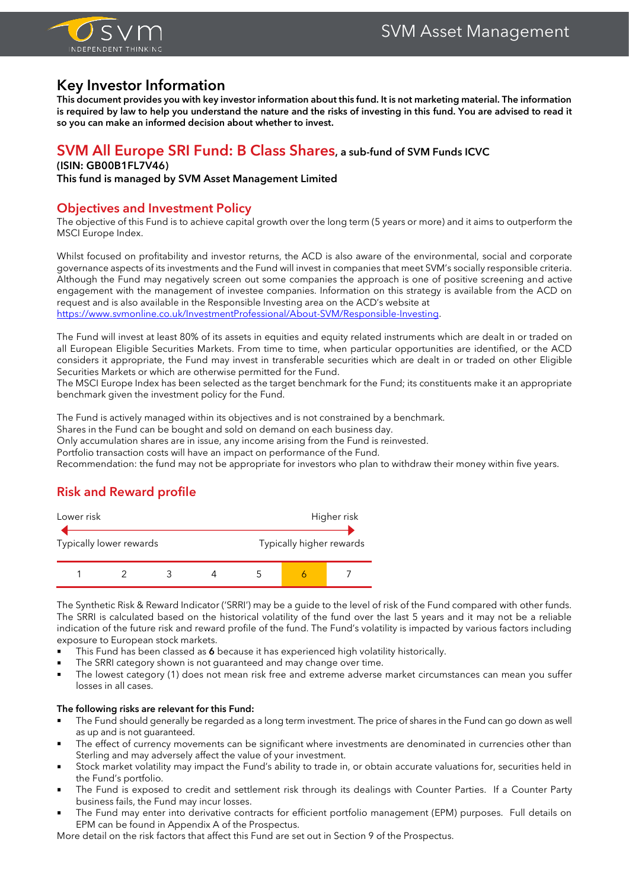

# **Key Investor Information**

**This document provides you with key investor information about this fund. It is not marketing material. The information is required by law to help you understand the nature and the risks of investing in this fund. You are advised to read it so you can make an informed decision about whether to invest.**

### **SVM All Europe SRI Fund: B Class Shares, a sub-fund of SVM Funds ICVC**

#### **(ISIN: GB00B1FL7V46)**

**This fund is managed by SVM Asset Management Limited**

### **Objectives and Investment Policy**

The objective of this Fund is to achieve capital growth over the long term (5 years or more) and it aims to outperform the MSCI Europe Index.

Whilst focused on profitability and investor returns, the ACD is also aware of the environmental, social and corporate governance aspects of its investments and the Fund will invest in companies that meet SVM's socially responsible criteria. Although the Fund may negatively screen out some companies the approach is one of positive screening and active engagement with the management of investee companies. Information on this strategy is available from the ACD on request and is also available in the Responsible Investing area on the ACD's website at [https://www.svmonline.co.uk/InvestmentProfessional/About-SVM/Responsible-Investing.](https://www.svmonline.co.uk/InvestmentProfessional/About-SVM/Responsible-Investing)

The Fund will invest at least 80% of its assets in equities and equity related instruments which are dealt in or traded on all European Eligible Securities Markets. From time to time, when particular opportunities are identified, or the ACD considers it appropriate, the Fund may invest in transferable securities which are dealt in or traded on other Eligible Securities Markets or which are otherwise permitted for the Fund.

The MSCI Europe Index has been selected as the target benchmark for the Fund; its constituents make it an appropriate benchmark given the investment policy for the Fund.

The Fund is actively managed within its objectives and is not constrained by a benchmark.

Shares in the Fund can be bought and sold on demand on each business day.

Only accumulation shares are in issue, any income arising from the Fund is reinvested.

Portfolio transaction costs will have an impact on performance of the Fund.

Recommendation: the fund may not be appropriate for investors who plan to withdraw their money within five years.

# **Risk and Reward profile**



The Synthetic Risk & Reward Indicator ('SRRI') may be a guide to the level of risk of the Fund compared with other funds. The SRRI is calculated based on the historical volatility of the fund over the last 5 years and it may not be a reliable indication of the future risk and reward profile of the fund. The Fund's volatility is impacted by various factors including exposure to European stock markets.

- This Fund has been classed as 6 because it has experienced high volatility historically.
- The SRRI category shown is not guaranteed and may change over time.
- The lowest category (1) does not mean risk free and extreme adverse market circumstances can mean you suffer losses in all cases.

#### **The following risks are relevant for this Fund:**

- The Fund should generally be regarded as a long term investment. The price of shares in the Fund can go down as well as up and is not guaranteed.
- The effect of currency movements can be significant where investments are denominated in currencies other than Sterling and may adversely affect the value of your investment.
- Stock market volatility may impact the Fund's ability to trade in, or obtain accurate valuations for, securities held in the Fund's portfolio.
- The Fund is exposed to credit and settlement risk through its dealings with Counter Parties. If a Counter Party business fails, the Fund may incur losses.
- The Fund may enter into derivative contracts for efficient portfolio management (EPM) purposes. Full details on EPM can be found in Appendix A of the Prospectus.

More detail on the risk factors that affect this Fund are set out in Section 9 of the Prospectus.